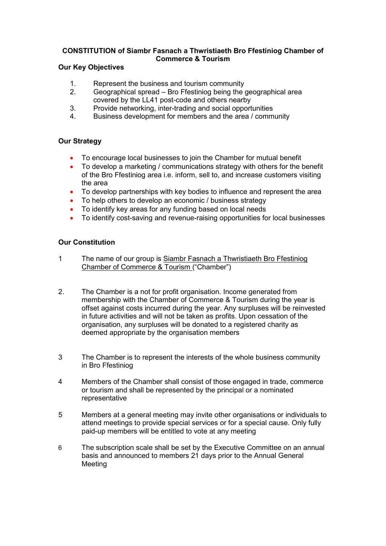## **CONSTITUTION of Siambr Fasnach a Thwristiaeth Bro Ffestiniog Chamber of Commerce & Tourism**

## **Our Key Objectives**

- 1. Represent the business and tourism community
- 2. Geographical spread Bro Ffestiniog being the geographical area covered by the LL41 post-code and others nearby
- 3. Provide networking, inter-trading and social opportunities
- 4. Business development for members and the area / community

## **Our Strategy**

- To encourage local businesses to join the Chamber for mutual benefit
- To develop a marketing / communications strategy with others for the benefit of the Bro Ffestiniog area i.e. inform, sell to, and increase customers visiting the area
- To develop partnerships with key bodies to influence and represent the area
- To help others to develop an economic / business strategy
- To identify key areas for any funding based on local needs
- To identify cost-saving and revenue-raising opportunities for local businesses

## **Our Constitution**

- 1 The name of our group is Siambr Fasnach a Thwristiaeth Bro Ffestiniog Chamber of Commerce & Tourism ("Chamber")
- 2. The Chamber is a not for profit organisation. Income generated from membership with the Chamber of Commerce & Tourism during the year is offset against costs incurred during the year. Any surpluses will be reinvested in future activities and will not be taken as profits. Upon cessation of the organisation, any surpluses will be donated to a registered charity as deemed appropriate by the organisation members
- 3 The Chamber is to represent the interests of the whole business community in Bro Ffestiniog
- 4 Members of the Chamber shall consist of those engaged in trade, commerce or tourism and shall be represented by the principal or a nominated representative
- 5 Members at a general meeting may invite other organisations or individuals to attend meetings to provide special services or for a special cause. Only fully paid-up members will be entitled to vote at any meeting
- 6 The subscription scale shall be set by the Executive Committee on an annual basis and announced to members 21 days prior to the Annual General Meeting